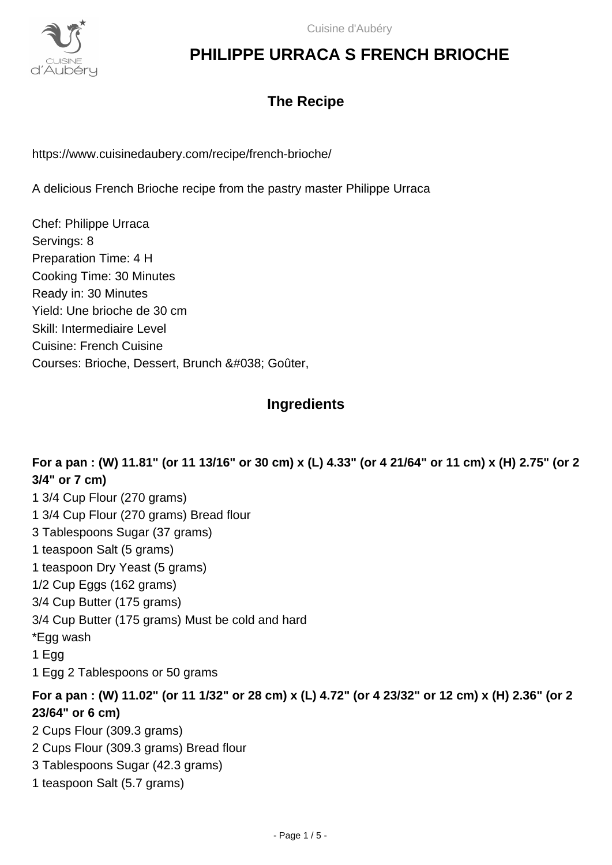

## **The Recipe**

https://www.cuisinedaubery.com/recipe/french-brioche/

A delicious French Brioche recipe from the pastry master Philippe Urraca

Chef: Philippe Urraca Servings: 8 Preparation Time: 4 H Cooking Time: 30 Minutes Ready in: 30 Minutes Yield: Une brioche de 30 cm Skill: Intermediaire Level Cuisine: French Cuisine Courses: Brioche, Dessert, Brunch & Goûter,

### **Ingredients**

**For a pan : (W) 11.81" (or 11 13/16" or 30 cm) x (L) 4.33" (or 4 21/64" or 11 cm) x (H) 2.75" (or 2 3/4" or 7 cm)** 1 3/4 Cup Flour (270 grams) 1 3/4 Cup Flour (270 grams) Bread flour 3 Tablespoons Sugar (37 grams) 1 teaspoon Salt (5 grams) 1 teaspoon Dry Yeast (5 grams) 1/2 Cup Eggs (162 grams) 3/4 Cup Butter (175 grams) 3/4 Cup Butter (175 grams) Must be cold and hard \*Egg wash 1 Egg 1 Egg 2 Tablespoons or 50 grams **For a pan : (W) 11.02" (or 11 1/32" or 28 cm) x (L) 4.72" (or 4 23/32" or 12 cm) x (H) 2.36" (or 2 23/64" or 6 cm)** 2 Cups Flour (309.3 grams) 2 Cups Flour (309.3 grams) Bread flour 3 Tablespoons Sugar (42.3 grams) 1 teaspoon Salt (5.7 grams)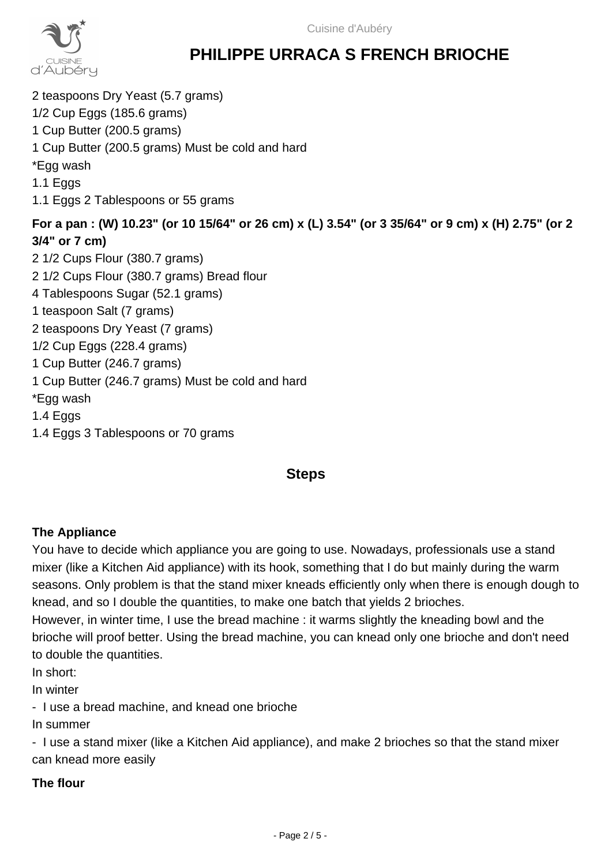

2 teaspoons Dry Yeast (5.7 grams) 1/2 Cup Eggs (185.6 grams) 1 Cup Butter (200.5 grams) 1 Cup Butter (200.5 grams) Must be cold and hard \*Egg wash 1.1 Eggs 1.1 Eggs 2 Tablespoons or 55 grams **For a pan : (W) 10.23" (or 10 15/64" or 26 cm) x (L) 3.54" (or 3 35/64" or 9 cm) x (H) 2.75" (or 2 3/4" or 7 cm)** 2 1/2 Cups Flour (380.7 grams) 2 1/2 Cups Flour (380.7 grams) Bread flour 4 Tablespoons Sugar (52.1 grams) 1 teaspoon Salt (7 grams) 2 teaspoons Dry Yeast (7 grams) 1/2 Cup Eggs (228.4 grams) 1 Cup Butter (246.7 grams) 1 Cup Butter (246.7 grams) Must be cold and hard \*Egg wash 1.4 Eggs 1.4 Eggs 3 Tablespoons or 70 grams

## **Steps**

### **The Appliance**

You have to decide which appliance you are going to use. Nowadays, professionals use a stand mixer (like a Kitchen Aid appliance) with its hook, something that I do but mainly during the warm seasons. Only problem is that the stand mixer kneads efficiently only when there is enough dough to knead, and so I double the quantities, to make one batch that yields 2 brioches.

However, in winter time, I use the bread machine : it warms slightly the kneading bowl and the brioche will proof better. Using the bread machine, you can knead only one brioche and don't need to double the quantities.

In short:

In winter

- I use a bread machine, and knead one brioche

In summer

- I use a stand mixer (like a Kitchen Aid appliance), and make 2 brioches so that the stand mixer can knead more easily

#### **The flour**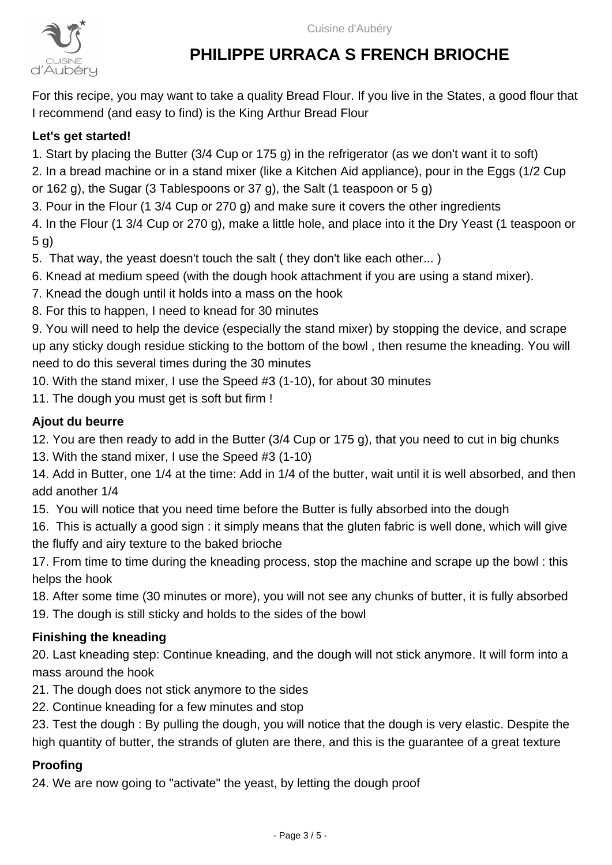

For this recipe, you may want to take a quality Bread Flour. If you live in the States, a good flour that I recommend (and easy to find) is the King Arthur Bread Flour

### **Let's get started!**

1. Start by placing the Butter (3/4 Cup or 175 g) in the refrigerator (as we don't want it to soft)

2. In a bread machine or in a stand mixer (like a Kitchen Aid appliance), pour in the Eggs (1/2 Cup

or 162 g), the Sugar (3 Tablespoons or 37 g), the Salt (1 teaspoon or 5 g)

3. Pour in the Flour (1 3/4 Cup or 270 g) and make sure it covers the other ingredients

4. In the Flour (1 3/4 Cup or 270 g), make a little hole, and place into it the Dry Yeast (1 teaspoon or 5 g)

5. That way, the yeast doesn't touch the salt ( they don't like each other... )

6. Knead at medium speed (with the dough hook attachment if you are using a stand mixer).

7. Knead the dough until it holds into a mass on the hook

8. For this to happen, I need to knead for 30 minutes

9. You will need to help the device (especially the stand mixer) by stopping the device, and scrape up any sticky dough residue sticking to the bottom of the bowl , then resume the kneading. You will need to do this several times during the 30 minutes

10. With the stand mixer, I use the Speed #3 (1-10), for about 30 minutes

11. The dough you must get is soft but firm !

#### **Ajout du beurre**

12. You are then ready to add in the Butter (3/4 Cup or 175 g), that you need to cut in big chunks

13. With the stand mixer, I use the Speed #3 (1-10)

14. Add in Butter, one 1/4 at the time: Add in 1/4 of the butter, wait until it is well absorbed, and then add another 1/4

15. You will notice that you need time before the Butter is fully absorbed into the dough

16. This is actually a good sign : it simply means that the gluten fabric is well done, which will give the fluffy and airy texture to the baked brioche

17. From time to time during the kneading process, stop the machine and scrape up the bowl : this helps the hook

18. After some time (30 minutes or more), you will not see any chunks of butter, it is fully absorbed 19. The dough is still sticky and holds to the sides of the bowl

### **Finishing the kneading**

20. Last kneading step: Continue kneading, and the dough will not stick anymore. It will form into a mass around the hook

- 21. The dough does not stick anymore to the sides
- 22. Continue kneading for a few minutes and stop

23. Test the dough : By pulling the dough, you will notice that the dough is very elastic. Despite the high quantity of butter, the strands of gluten are there, and this is the guarantee of a great texture

#### **Proofing**

24. We are now going to "activate" the yeast, by letting the dough proof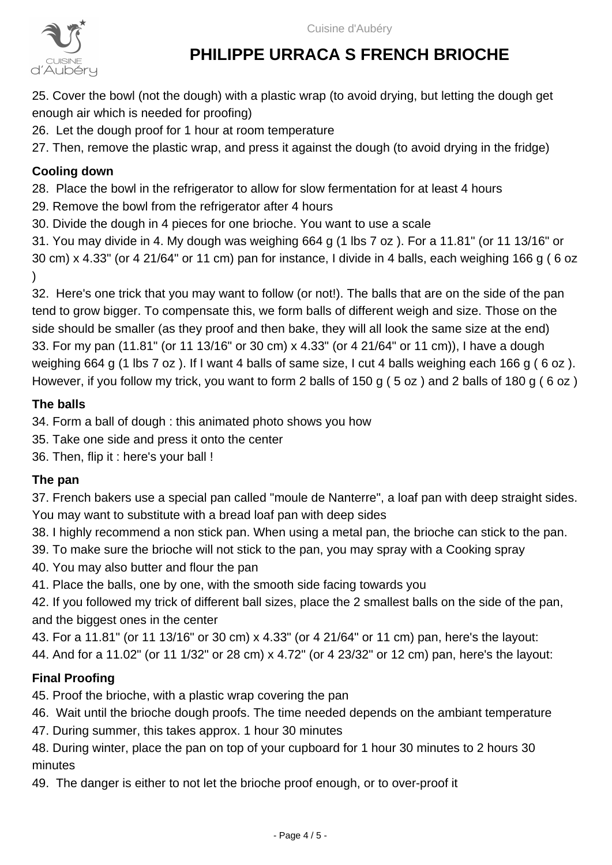Cuisine d'Aubéry



# **PHILIPPE URRACA S FRENCH BRIOCHE**

25. Cover the bowl (not the dough) with a plastic wrap (to avoid drying, but letting the dough get enough air which is needed for proofing)

26. Let the dough proof for 1 hour at room temperature

27. Then, remove the plastic wrap, and press it against the dough (to avoid drying in the fridge)

## **Cooling down**

28. Place the bowl in the refrigerator to allow for slow fermentation for at least 4 hours

- 29. Remove the bowl from the refrigerator after 4 hours
- 30. Divide the dough in 4 pieces for one brioche. You want to use a scale

31. You may divide in 4. My dough was weighing 664 g (1 lbs 7 oz ). For a 11.81" (or 11 13/16" or 30 cm) x 4.33" (or 4 21/64" or 11 cm) pan for instance, I divide in 4 balls, each weighing 166 g ( 6 oz  $\lambda$ 

32. Here's one trick that you may want to follow (or not!). The balls that are on the side of the pan tend to grow bigger. To compensate this, we form balls of different weigh and size. Those on the side should be smaller (as they proof and then bake, they will all look the same size at the end) 33. For my pan (11.81" (or 11 13/16" or 30 cm) x 4.33" (or 4 21/64" or 11 cm)), I have a dough weighing 664 g (1 lbs 7 oz ). If I want 4 balls of same size, I cut 4 balls weighing each 166 g ( 6 oz ). However, if you follow my trick, you want to form 2 balls of 150 g ( 5 oz ) and 2 balls of 180 g ( 6 oz )

### **The balls**

34. Form a ball of dough : this animated photo shows you how

- 35. Take one side and press it onto the center
- 36. Then, flip it : here's your ball !

## **The pan**

37. French bakers use a special pan called "moule de Nanterre", a loaf pan with deep straight sides. You may want to substitute with a bread loaf pan with deep sides

- 38. I highly recommend a non stick pan. When using a metal pan, the brioche can stick to the pan.
- 39. To make sure the brioche will not stick to the pan, you may spray with a Cooking spray
- 40. You may also butter and flour the pan
- 41. Place the balls, one by one, with the smooth side facing towards you

42. If you followed my trick of different ball sizes, place the 2 smallest balls on the side of the pan, and the biggest ones in the center

43. For a 11.81" (or 11 13/16" or 30 cm) x 4.33" (or 4 21/64" or 11 cm) pan, here's the layout:

44. And for a 11.02" (or 11 1/32" or 28 cm) x 4.72" (or 4 23/32" or 12 cm) pan, here's the layout:

## **Final Proofing**

45. Proof the brioche, with a plastic wrap covering the pan

46. Wait until the brioche dough proofs. The time needed depends on the ambiant temperature

47. During summer, this takes approx. 1 hour 30 minutes

48. During winter, place the pan on top of your cupboard for 1 hour 30 minutes to 2 hours 30 minutes

49. The danger is either to not let the brioche proof enough, or to over-proof it